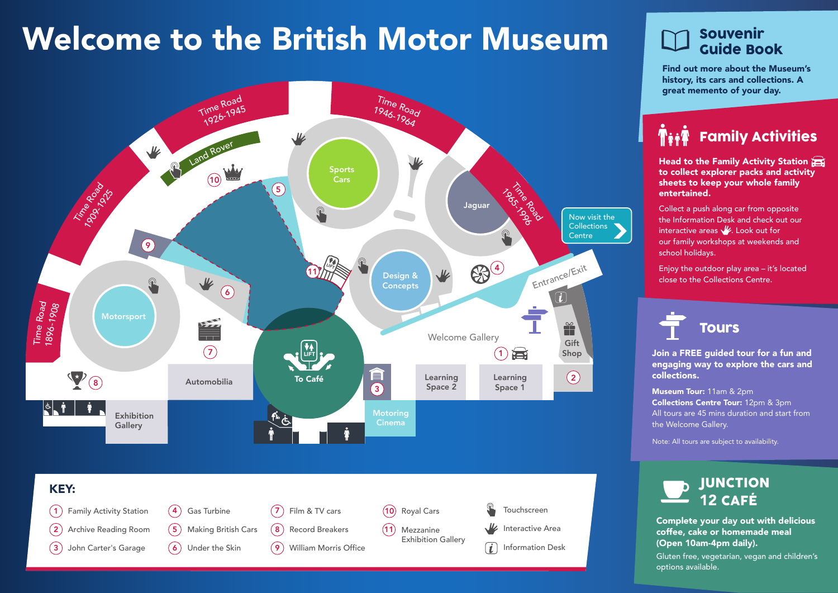# Welcome to the British Motor Museum





### Souvenir Guide Book

Find out more about the Museum's history, its cars and collections. A great memento of your day.

Family Activities

Head to the Family Activity Station to collect explorer packs and activity sheets to keep your whole family entertained.

Collect a push along car from opposite the Information Desk and check out our interactive areas  $\frac{1}{2}$ . Look out for our family workshops at weekends and school holidays.

Enjoy the outdoor play area – it's located close to the Collections Centre.



Join a FREE guided tour for a fun and engaging way to explore the cars and collections.

Museum Tour: 11am & 2pm Collections Centre Tour: 12pm & 3pm All tours are 45 mins duration and start from the Welcome Gallery.

Note: All tours are subject to availability.



Complete your day out with delicious coffee, cake or homemade meal (Open 10am-4pm daily).

Gluten free, vegetarian, vegan and children's options available.